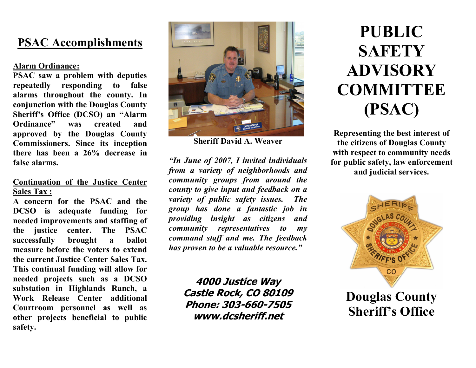# **PSAC Accomplishments**

# **Alarm Ordinance:**

**PSAC saw a problem with deputies repeatedly responding to false alarms throughout the county. In conjunction with the Douglas County Sheriff's Office (DCSO) an "Alarm Ordinance" was created and approved by the Douglas County Commissioners. Since its inception there has been a 26% decrease in false alarms.**

# **Continuation of the Justice Center Sales Tax :**

**A concern for the PSAC and the DCSO is adequate funding for needed improvements and staffing of the justice center. The PSAC successfully brought a ballot measure before the voters to extend the current Justice Center Sales Tax. This continual funding will allow for needed projects such as a DCSO substation in Highlands Ranch, a Work Release Center additional Courtroom personnel as well as other projects beneficial to public safety.**



**Sheriff David A. Weaver**

*"In June of 2007, I invited individuals from a variety of neighborhoods and community groups from around the county to give input and feedback on a variety of public safety issues. The group has done a fantastic job in providing insight as citizens and community representatives to my command staff and me. The feedback has proven to be a valuable resource."* 

> **4000 Justice Way Castle Rock, CO 80109 Phone: 303-660-7505 www.dcsheriff.net**

# **PUBLIC SAFETY ADVISORY COMMITTEE (PSAC)**

**Representing the best interest of the citizens of Douglas County with respect to community needs for public safety, law enforcement and judicial services.**



**Douglas County Sheriff's Office**